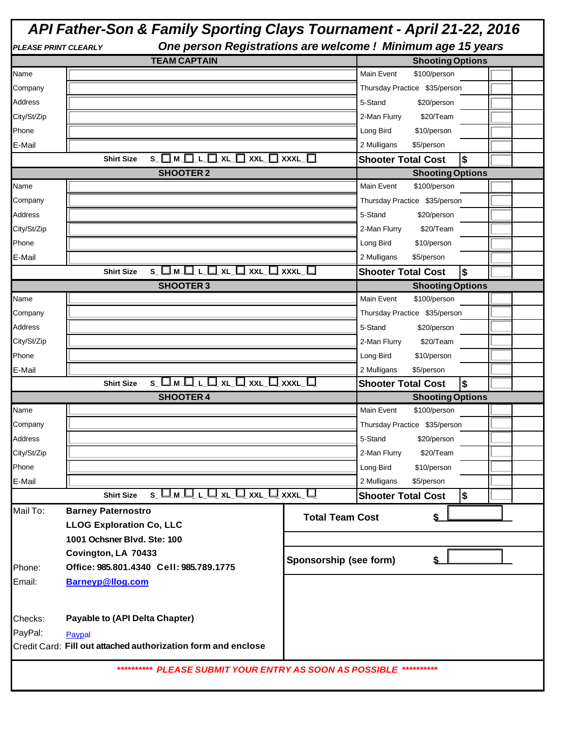# *API Father-Son & Family Sporting Clays Tournament - April 21-22, 2016*

| <b>PLEASE PRINT CLEARLY</b> | One person Registrations are welcome ! Minimum age 15 years             |                        |                                                |  |
|-----------------------------|-------------------------------------------------------------------------|------------------------|------------------------------------------------|--|
|                             | <b>TEAM CAPTAIN</b>                                                     |                        | <b>Shooting Options</b>                        |  |
| Name                        |                                                                         |                        | Main Event<br>\$100/person                     |  |
| Company                     |                                                                         |                        | Thursday Practice \$35/person                  |  |
| Address                     |                                                                         |                        | 5-Stand<br>\$20/person                         |  |
| City/St/Zip                 |                                                                         |                        | 2-Man Flurry<br>\$20/Team                      |  |
| Phone                       |                                                                         |                        | Long Bird<br>\$10/person                       |  |
| E-Mail                      |                                                                         |                        | 2 Mulligans<br>\$5/person                      |  |
|                             | S_O_M_O_L_O_XL_O_XXL_O_XXXL_O<br><b>Shirt Size</b>                      |                        | \$<br><b>Shooter Total Cost</b>                |  |
|                             | <b>SHOOTER 2</b>                                                        |                        | <b>Shooting Options</b>                        |  |
| Name                        |                                                                         |                        | Main Event<br>\$100/person                     |  |
| Company                     |                                                                         |                        | Thursday Practice \$35/person                  |  |
| Address                     |                                                                         |                        | 5-Stand<br>\$20/person                         |  |
| City/St/Zip                 |                                                                         |                        | \$20/Team<br>2-Man Flurry                      |  |
| Phone                       |                                                                         |                        | Long Bird<br>\$10/person                       |  |
| E-Mail                      |                                                                         |                        | 2 Mulligans<br>\$5/person                      |  |
|                             | S OM OL OXL OXXL OXXXL O<br><b>Shirt Size</b>                           |                        | $\boldsymbol{\$}$<br><b>Shooter Total Cost</b> |  |
|                             | <b>SHOOTER 3</b>                                                        |                        |                                                |  |
|                             |                                                                         |                        | <b>Shooting Options</b>                        |  |
| Name                        |                                                                         |                        | Main Event<br>\$100/person                     |  |
| Company                     |                                                                         |                        | Thursday Practice \$35/person                  |  |
| <b>Address</b>              |                                                                         |                        | 5-Stand<br>\$20/person                         |  |
| City/St/Zip                 |                                                                         |                        | 2-Man Flurry<br>\$20/Team                      |  |
| Phone                       |                                                                         |                        | Long Bird<br>\$10/person                       |  |
| E-Mail                      |                                                                         |                        | 2 Mulligans<br>\$5/person                      |  |
|                             | <b>Shirt Size</b>                                                       |                        | $\frac{1}{2}$<br><b>Shooter Total Cost</b>     |  |
|                             | <b>SHOOTER 4</b>                                                        |                        | <b>Shooting Options</b>                        |  |
| Name                        |                                                                         |                        | Main Event<br>\$100/person                     |  |
| Company                     |                                                                         |                        | Thursday Practice \$35/person                  |  |
| Address                     |                                                                         |                        | 5-Stand<br>\$20/person                         |  |
| City/St/Zip                 |                                                                         |                        | 2-Man Flurry<br>\$20/Team                      |  |
| Phone                       |                                                                         |                        | Long Bird<br>\$10/person                       |  |
| E-Mail                      |                                                                         |                        | 2 Mulligans<br>\$5/person                      |  |
|                             | <b>Shirt Size</b>                                                       |                        | <b>Shooter Total Cost</b><br>\$                |  |
| Mail To:                    | <b>Barney Paternostro</b>                                               |                        |                                                |  |
|                             | <b>LLOG Exploration Co, LLC</b>                                         | <b>Total Team Cost</b> |                                                |  |
|                             | 1001 Ochsner Blvd. Ste: 100                                             |                        |                                                |  |
|                             | Covington, LA 70433                                                     |                        |                                                |  |
|                             |                                                                         | Sponsorship (see form) | \$                                             |  |
| Phone:                      | Office: 985.801.4340 Cell: 985.789.1775                                 |                        |                                                |  |
| Email:                      | <b>Barneyp@llog.com</b>                                                 |                        |                                                |  |
|                             |                                                                         |                        |                                                |  |
|                             |                                                                         |                        |                                                |  |
|                             |                                                                         |                        |                                                |  |
| Checks:                     | <b>Payable to (API Delta Chapter)</b>                                   |                        |                                                |  |
| PayPal:                     | Paypal<br>Credit Card: Fill out attached authorization form and enclose |                        |                                                |  |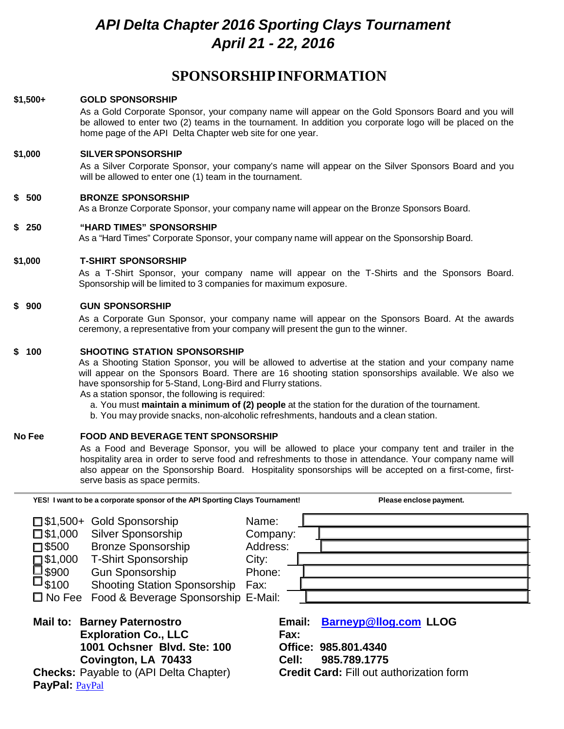# *API Delta Chapter 2016 Sporting Clays Tournament April 21 - 22, 2016*

### **SPONSORSHIPINFORMATION**

#### **\$1,500+ GOLD SPONSORSHIP**

As a Gold Corporate Sponsor, your company name will appear on the Gold Sponsors Board and you will be allowed to enter two (2) teams in the tournament. In addition you corporate logo will be placed on the home page of the API Delta Chapter web site for one year.

#### **\$1,000 SILVER SPONSORSHIP**

As a Silver Corporate Sponsor, your company's name will appear on the Silver Sponsors Board and you will be allowed to enter one (1) team in the tournament.

#### **\$ 500 BRONZE SPONSORSHIP**

As a Bronze Corporate Sponsor, your company name will appear on the Bronze Sponsors Board.

#### **\$ 250 "HARD TIMES" SPONSORSHIP**

As a "Hard Times" Corporate Sponsor, your company name will appear on the Sponsorship Board.

#### **\$1,000 T-SHIRT SPONSORSHIP**

As a T-Shirt Sponsor, your company name will appear on the T-Shirts and the Sponsors Board. Sponsorship will be limited to 3 companies for maximum exposure.

#### **\$ 900 GUN SPONSORSHIP**

As a Corporate Gun Sponsor, your company name will appear on the Sponsors Board. At the awards ceremony, a representative from your company will present the gun to the winner.

#### **\$ 100 SHOOTING STATION SPONSORSHIP**

As a Shooting Station Sponsor, you will be allowed to advertise at the station and your company name will appear on the Sponsors Board. There are 16 shooting station sponsorships available. We also we have sponsorship for 5-Stand, Long-Bird and Flurry stations.

As a station sponsor, the following is required:

- a. You must **maintain a minimum of (2) people** at the station for the duration of the tournament.
- b. You may provide snacks, non-alcoholic refreshments, handouts and a clean station.

#### **No Fee FOOD AND BEVERAGE TENT SPONSORSHIP**

As a Food and Beverage Sponsor, you will be allowed to place your company tent and trailer in the hospitality area in order to serve food and refreshments to those in attendance. Your company name will also appear on the Sponsorship Board. Hospitality sponsorships will be accepted on a first-come, firstserve basis as space permits.

| YES! I want to be a corporate sponsor of the API Sporting Clays Tournament!                                                                                                                                                                                                                                                               |                                                          | Please enclose payment.                                                                                                 |
|-------------------------------------------------------------------------------------------------------------------------------------------------------------------------------------------------------------------------------------------------------------------------------------------------------------------------------------------|----------------------------------------------------------|-------------------------------------------------------------------------------------------------------------------------|
| □ \$1,500+ Gold Sponsorship<br><b>Silver Sponsorship</b><br>$\square$ \$1,000<br><b>Bronze Sponsorship</b><br>$\square$ \$500<br><b>T-Shirt Sponsorship</b><br>$\square$ \$1,000<br>■\$900<br><b>Gun Sponsorship</b><br>$\square$ \$100<br><b>Shooting Station Sponsorship</b><br>$\square$ No Fee<br>Food & Beverage Sponsorship E-Mail: | Name:<br>Company:<br>Address:<br>City:<br>Phone:<br>Fax: |                                                                                                                         |
| <b>Mail to: Barney Paternostro</b><br><b>Exploration Co., LLC</b><br>1001 Ochsner Blvd. Ste: 100<br>Covington, LA 70433<br><b>Checks: Payable to (API Delta Chapter)</b><br>PayPal: PayPal                                                                                                                                                | Email:<br>Fax:<br>Cell:                                  | <b>Barneyp@llog.com LLOG</b><br>Office: 985.801.4340<br>985.789.1775<br><b>Credit Card: Fill out authorization form</b> |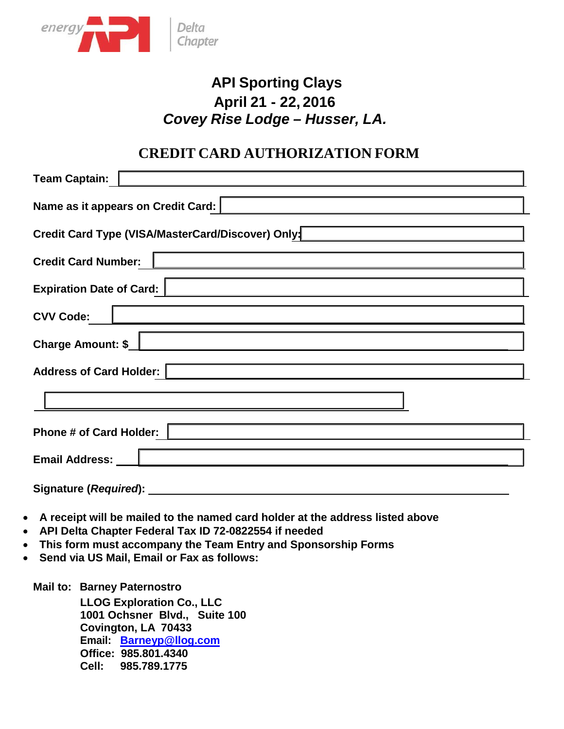

# **API Sporting Clays April 21 - 22, 2016** *Covey Rise Lodge – Husser, LA.*

### **CREDIT CARD AUTHORIZATION FORM**

| <b>Team Captain:</b>                                                           |  |  |  |  |
|--------------------------------------------------------------------------------|--|--|--|--|
| Name as it appears on Credit Card:                                             |  |  |  |  |
| Credit Card Type (VISA/MasterCard/Discover) Only:                              |  |  |  |  |
| <b>Credit Card Number:</b><br>the control of the control of the control of the |  |  |  |  |
| <b>Expiration Date of Card:</b>                                                |  |  |  |  |
| <b>CVV Code:</b><br><u> 1980 - Johann Barbara, martxa alemaniar amerikan a</u> |  |  |  |  |
| <b>Charge Amount: \$_</b>                                                      |  |  |  |  |
| <b>Address of Card Holder:</b>                                                 |  |  |  |  |
|                                                                                |  |  |  |  |
| <b>Phone # of Card Holder:</b>                                                 |  |  |  |  |
| Email Address: _                                                               |  |  |  |  |
| Signature (Required):                                                          |  |  |  |  |

- 
- **A receipt will be mailed to the named card holder at the address listed above**
- **API Delta Chapter Federal Tax ID 72-0822554 if needed**
- **This form must accompany the Team Entry and Sponsorship Forms**
- **Send via US Mail, Email or Fax as follows:**

**Mail to: Barney Paternostro**

**LLOG Exploration Co., LLC 1001 Ochsner Blvd., Suite 100 Covington, LA 70433 Email: [Barneyp@llog.com](mailto:Barneyp@llog.com) Office: 985.801.4340 Cell: 985.789.1775**